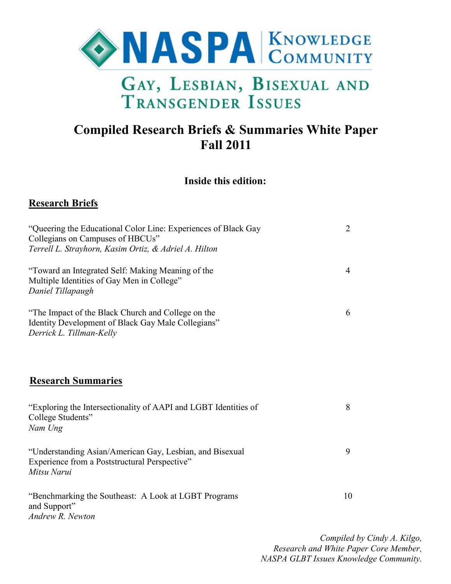

# **Compiled Research Briefs & Summaries White Paper Fall 2011**

# **Inside this edition:**

# **Research Briefs**

| "Queering the Educational Color Line: Experiences of Black Gay<br>Collegians on Campuses of HBCUs"<br>Terrell L. Strayhorn, Kasim Ortiz, & Adriel A. Hilton | $\overline{2}$ |
|-------------------------------------------------------------------------------------------------------------------------------------------------------------|----------------|
| "Toward an Integrated Self: Making Meaning of the<br>Multiple Identities of Gay Men in College"<br>Daniel Tillapaugh                                        | $\overline{4}$ |
| "The Impact of the Black Church and College on the<br>Identity Development of Black Gay Male Collegians"<br>Derrick L. Tillman-Kelly                        | 6              |
| <b>Research Summaries</b>                                                                                                                                   |                |
| "Exploring the Intersectionality of AAPI and LGBT Identities of<br>College Students"<br>Nam Ung                                                             | 8              |
| "Understanding Asian/American Gay, Lesbian, and Bisexual<br>Experience from a Poststructural Perspective"<br>Mitsu Narui                                    | 9              |
| "Benchmarking the Southeast: A Look at LGBT Programs<br>and Support"<br>Andrew R. Newton                                                                    | 10             |

*Compiled by Cindy A. Kilgo, Research and White Paper Core Member, NASPA GLBT Issues Knowledge Community.*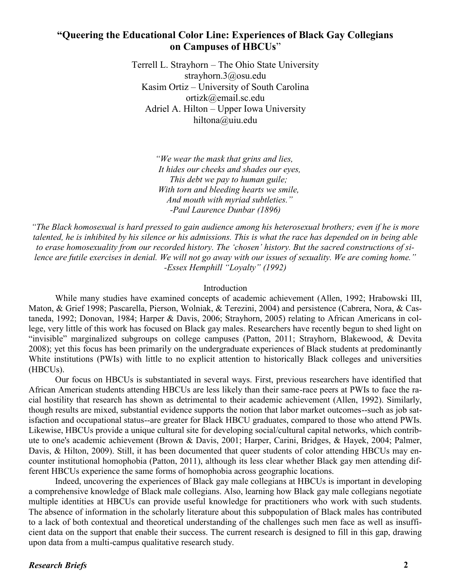# **"Queering the Educational Color Line: Experiences of Black Gay Collegians on Campuses of HBCUs**"

Terrell L. Strayhorn – The Ohio State University strayhorn.3@osu.edu Kasim Ortiz – University of South Carolina ortizk@email.sc.edu Adriel A. Hilton – Upper Iowa University hiltona@uiu.edu

> *"We wear the mask that grins and lies, It hides our cheeks and shades our eyes, This debt we pay to human guile; With torn and bleeding hearts we smile, And mouth with myriad subtleties." -Paul Laurence Dunbar (1896)*

*"The Black homosexual is hard pressed to gain audience among his heterosexual brothers; even if he is more talented, he is inhibited by his silence or his admissions. This is what the race has depended on in being able to erase homosexuality from our recorded history. The 'chosen' history. But the sacred constructions of silence are futile exercises in denial. We will not go away with our issues of sexuality. We are coming home." -Essex Hemphill "Loyalty" (1992)*

#### Introduction

While many studies have examined concepts of academic achievement ([Allen, 1992;](file:///C:/Documents%20and%20Settings/kilgoc/My%20Documents/Cindy%20Kilgo/CINDY/LGBT/NASPA%20GLBT%20KC%20Research%20&%20White%20Paper%20Core%20Member/GLBT%20KC%20White%20Paper%20-%20Sept.%202011/StrayhornOrtizHiltonBGMHBCU2011.doc#ENREF_1#ENREF_1) [Hrabowski III,](file:///C:/Documents%20and%20Settings/kilgoc/My%20Documents/Cindy%20Kilgo/CINDY/LGBT/NASPA%20GLBT%20KC%20Research%20&%20White%20Paper%20Core%20Member/GLBT%20KC%20White%20Paper%20-%20Sept.%202011/StrayhornOrtizHiltonBGMHBCU2011.doc#ENREF_7#ENREF_7)  [Maton, & Grief 1998;](file:///C:/Documents%20and%20Settings/kilgoc/My%20Documents/Cindy%20Kilgo/CINDY/LGBT/NASPA%20GLBT%20KC%20Research%20&%20White%20Paper%20Core%20Member/GLBT%20KC%20White%20Paper%20-%20Sept.%202011/StrayhornOrtizHiltonBGMHBCU2011.doc#ENREF_7#ENREF_7) [Pascarella, Pierson, Wolniak, & Terezini, 2004\)](file:///C:/Documents%20and%20Settings/kilgoc/My%20Documents/Cindy%20Kilgo/CINDY/LGBT/NASPA%20GLBT%20KC%20Research%20&%20White%20Paper%20Core%20Member/GLBT%20KC%20White%20Paper%20-%20Sept.%202011/StrayhornOrtizHiltonBGMHBCU2011.doc#ENREF_12#ENREF_12) and persistence ([Cabrera, Nora, & Cas](file:///C:/Documents%20and%20Settings/kilgoc/My%20Documents/Cindy%20Kilgo/CINDY/LGBT/NASPA%20GLBT%20KC%20Research%20&%20White%20Paper%20Core%20Member/GLBT%20KC%20White%20Paper%20-%20Sept.%202011/StrayhornOrtizHiltonBGMHBCU2011.doc#ENREF_3#ENREF_3)[taneda, 1992;](file:///C:/Documents%20and%20Settings/kilgoc/My%20Documents/Cindy%20Kilgo/CINDY/LGBT/NASPA%20GLBT%20KC%20Research%20&%20White%20Paper%20Core%20Member/GLBT%20KC%20White%20Paper%20-%20Sept.%202011/StrayhornOrtizHiltonBGMHBCU2011.doc#ENREF_3#ENREF_3) [Donovan, 1984;](file:///C:/Documents%20and%20Settings/kilgoc/My%20Documents/Cindy%20Kilgo/CINDY/LGBT/NASPA%20GLBT%20KC%20Research%20&%20White%20Paper%20Core%20Member/GLBT%20KC%20White%20Paper%20-%20Sept.%202011/StrayhornOrtizHiltonBGMHBCU2011.doc#ENREF_4#ENREF_4) [Harper & Davis, 2006;](file:///C:/Documents%20and%20Settings/kilgoc/My%20Documents/Cindy%20Kilgo/CINDY/LGBT/NASPA%20GLBT%20KC%20Research%20&%20White%20Paper%20Core%20Member/GLBT%20KC%20White%20Paper%20-%20Sept.%202011/StrayhornOrtizHiltonBGMHBCU2011.doc#ENREF_6#ENREF_6) [Strayhorn, 2005\)](file:///C:/Documents%20and%20Settings/kilgoc/My%20Documents/Cindy%20Kilgo/CINDY/LGBT/NASPA%20GLBT%20KC%20Research%20&%20White%20Paper%20Core%20Member/GLBT%20KC%20White%20Paper%20-%20Sept.%202011/StrayhornOrtizHiltonBGMHBCU2011.doc#ENREF_14#ENREF_14) relating to African Americans in college, very little of this work has focused on Black gay males. Researchers have recently begun to shed light on "invisible" marginalized subgroups on college campuses [\(Patton, 2011;](file:///C:/Documents%20and%20Settings/kilgoc/My%20Documents/Cindy%20Kilgo/CINDY/LGBT/NASPA%20GLBT%20KC%20Research%20&%20White%20Paper%20Core%20Member/GLBT%20KC%20White%20Paper%20-%20Sept.%202011/StrayhornOrtizHiltonBGMHBCU2011.doc#ENREF_13#ENREF_13) [Strayhorn, Blakewood, & Devita](file:///C:/Documents%20and%20Settings/kilgoc/My%20Documents/Cindy%20Kilgo/CINDY/LGBT/NASPA%20GLBT%20KC%20Research%20&%20White%20Paper%20Core%20Member/GLBT%20KC%20White%20Paper%20-%20Sept.%202011/StrayhornOrtizHiltonBGMHBCU2011.doc#ENREF_15#ENREF_15)  [2008\);](file:///C:/Documents%20and%20Settings/kilgoc/My%20Documents/Cindy%20Kilgo/CINDY/LGBT/NASPA%20GLBT%20KC%20Research%20&%20White%20Paper%20Core%20Member/GLBT%20KC%20White%20Paper%20-%20Sept.%202011/StrayhornOrtizHiltonBGMHBCU2011.doc#ENREF_15#ENREF_15) yet this focus has been primarily on the undergraduate experiences of Black students at predominantly White institutions (PWIs) with little to no explicit attention to historically Black colleges and universities (HBCUs).

Our focus on HBCUs is substantiated in several ways. First, previous researchers have identified that African American students attending HBCUs are less likely than their same-race peers at PWIs to face the racial hostility that research has shown as detrimental to their academic achievement (Allen, 1992). Similarly, though results are mixed, substantial evidence supports the notion that labor market outcomes--such as job satisfaction and occupational status--are greater for Black HBCU graduates, compared to those who attend PWIs. Likewise, HBCUs provide a unique cultural site for developing social/cultural capital networks, which contribute to one's academic achievement (Brown & Davis, 2001; Harper, Carini, Bridges, & Hayek, 2004; Palmer, Davis, & Hilton, 2009). Still, it has been documented that queer students of color attending HBCUs may encounter institutional homophobia (Patton, 2011), although its less clear whether Black gay men attending different HBCUs experience the same forms of homophobia across geographic locations.

Indeed, uncovering the experiences of Black gay male collegians at HBCUs is important in developing a comprehensive knowledge of Black male collegians. Also, learning how Black gay male collegians negotiate multiple identities at HBCUs can provide useful knowledge for practitioners who work with such students. The absence of information in the scholarly literature about this subpopulation of Black males has contributed to a lack of both contextual and theoretical understanding of the challenges such men face as well as insufficient data on the support that enable their success. The current research is designed to fill in this gap, drawing upon data from a multi-campus qualitative research study.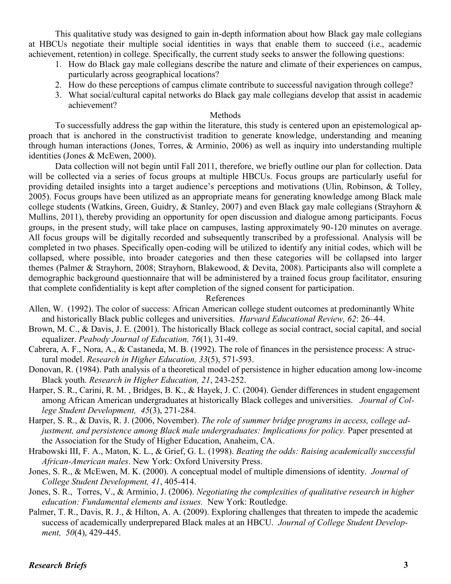This qualitative study was designed to gain in-depth information about how Black gay male collegians at HBCUs negotiate their multiple social identities in ways that enable them to succeed (i.e., academic achievement, retention) in college. Specifically, the current study seeks to answer the following questions:

- 1. How do Black gay male collegians describe the nature and climate of their experiences on campus, particularly across geographical locations?
- 2. How do these perceptions of campus climate contribute to successful navigation through college?
- 3. What social/cultural capital networks do Black gay male collegians develop that assist in academic achievement?

### Methods

To successfully address the gap within the literature, this study is centered upon an epistemological approach that is anchored in the constructivist tradition to generate knowledge, understanding and meaning through human interactions (Jones, Torres, & Arminio, 2006) as well as inquiry into understanding multiple identities (Jones & McEwen, 2000).

Data collection will not begin until Fall 2011, therefore, we briefly outline our plan for collection. Data will be collected via a series of focus groups at multiple HBCUs. Focus groups are particularly useful for providing detailed insights into a target audience's perceptions and motivations [\(Ulin, Robinson, & Tolley,](file:///C:/Documents%20and%20Settings/kilgoc/My%20Documents/Cindy%20Kilgo/CINDY/LGBT/NASPA%20GLBT%20KC%20Research%20&%20White%20Paper%20Core%20Member/GLBT%20KC%20White%20Paper%20-%20Sept.%202011/StrayhornOrtizHiltonBGMHBCU2011.doc#ENREF_16#ENREF_16)  [2005\).](file:///C:/Documents%20and%20Settings/kilgoc/My%20Documents/Cindy%20Kilgo/CINDY/LGBT/NASPA%20GLBT%20KC%20Research%20&%20White%20Paper%20Core%20Member/GLBT%20KC%20White%20Paper%20-%20Sept.%202011/StrayhornOrtizHiltonBGMHBCU2011.doc#ENREF_16#ENREF_16) Focus groups have been utilized as an appropriate means for generating knowledge among Black male college students ([Watkins, Green, Guidry, & Stanley, 2007\)](file:///C:/Documents%20and%20Settings/kilgoc/My%20Documents/Cindy%20Kilgo/CINDY/LGBT/NASPA%20GLBT%20KC%20Research%20&%20White%20Paper%20Core%20Member/GLBT%20KC%20White%20Paper%20-%20Sept.%202011/StrayhornOrtizHiltonBGMHBCU2011.doc#ENREF_17#ENREF_17) and even Black gay male collegians (Strayhorn & Mullins, 2011), thereby providing an opportunity for open discussion and dialogue among participants. Focus groups, in the present study, will take place on campuses, lasting approximately 90-120 minutes on average. All focus groups will be digitally recorded and subsequently transcribed by a professional. Analysis will be completed in two phases. Specifically open-coding will be utilized to identify any initial codes, which will be collapsed, where possible, into broader categories and then these categories will be collapsed into larger themes [\(Palmer & Strayhorn, 2008;](file:///C:/Documents%20and%20Settings/kilgoc/My%20Documents/Cindy%20Kilgo/CINDY/LGBT/NASPA%20GLBT%20KC%20Research%20&%20White%20Paper%20Core%20Member/GLBT%20KC%20White%20Paper%20-%20Sept.%202011/StrayhornOrtizHiltonBGMHBCU2011.doc#ENREF_11#ENREF_11) [Strayhorn, Blakewood, & Devita, 2008\).](file:///C:/Documents%20and%20Settings/kilgoc/My%20Documents/Cindy%20Kilgo/CINDY/LGBT/NASPA%20GLBT%20KC%20Research%20&%20White%20Paper%20Core%20Member/GLBT%20KC%20White%20Paper%20-%20Sept.%202011/StrayhornOrtizHiltonBGMHBCU2011.doc#ENREF_15#ENREF_15) Participants also will complete a demographic background questionnaire that will be administered by a trained focus group facilitator, ensuring that complete confidentiality is kept after completion of the signed consent for participation.

#### References

- Allen, W. (1992). The color of success: African American college student outcomes at predominantly White and historically Black public colleges and universities. *Harvard Educational Review, 62*: 26–44.
- Brown, M. C., & Davis, J. E. (2001). The historically Black college as social contract, social capital, and social equalizer. *Peabody Journal of Education, 76*(1), 31-49.
- Cabrera, A. F., Nora, A., & Castaneda, M. B. (1992). The role of finances in the persistence process: A structural model. *Research in Higher Education, 33*(5), 571-593.
- Donovan, R. (1984). Path analysis of a theoretical model of persistence in higher education among low-income Black youth. *Research in Higher Education, 21*, 243-252.
- Harper, S. R., Carini, R. M. , Bridges, B. K., & Hayek, J. C. (2004). Gender differences in student engagement among African American undergraduates at historically Black colleges and universities. *Journal of College Student Development, 45*(3), 271-284.
- Harper, S. R., & Davis, R. J. (2006, November). *The role of summer bridge programs in access, college adjustment, and persistence among Black male undergraduates: Implications for policy.* Paper presented at the Association for the Study of Higher Education, Anaheim, CA.
- Hrabowski III, F. A., Maton, K. L., & Grief, G. L. (1998). *Beating the odds: Raising academically successful African-American males*. New York: Oxford University Press.
- Jones, S. R., & McEwen, M. K. (2000). A conceptual model of multiple dimensions of identity. *Journal of College Student Development, 41*, 405-414.
- Jones, S. R., Torres, V., & Arminio, J. (2006). *Negotiating the complexities of qualitative research in higher education: Fundamental elements and issues.* New York: Routledge.
- Palmer, T. R., Davis, R. J., & Hilton, A. A. (2009). Exploring challenges that threaten to impede the academic success of academically underprepared Black males at an HBCU. *Journal of College Student Development, 50*(4), 429-445.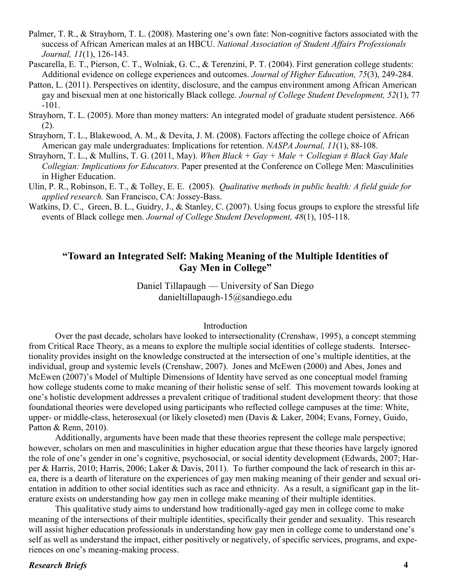- Palmer, T. R., & Strayhorn, T. L. (2008). Mastering one's own fate: Non-cognitive factors associated with the success of African American males at an HBCU. *National Association of Student Affairs Professionals Journal, 11*(1), 126-143.
- Pascarella, E. T., Pierson, C. T., Wolniak, G. C., & Terenzini, P. T. (2004). First generation college students: Additional evidence on college experiences and outcomes. *Journal of Higher Education, 75*(3), 249-284.
- Patton, L. (2011). Perspectives on identity, disclosure, and the campus environment among African American gay and bisexual men at one historically Black college. *Journal of College Student Development, 52*(1), 77 -101.
- Strayhorn, T. L. (2005). More than money matters: An integrated model of graduate student persistence. A66 (2).
- Strayhorn, T. L., Blakewood, A. M., & Devita, J. M. (2008). Factors affecting the college choice of African American gay male undergraduates: Implications for retention. *NASPA Journal, 11*(1), 88-108.
- Strayhorn, T. L., & Mullins, T. G. (2011, May). *When Black + Gay + Male + Collegian ≠ Black Gay Male Collegian: Implications for Educators.* Paper presented at the Conference on College Men: Masculinities in Higher Education.
- Ulin, P. R., Robinson, E. T., & Tolley, E. E. (2005). *Qualitative methods in public health: A field guide for applied research.* San Francisco, CA: Jossey-Bass.
- Watkins, D. C., Green, B. L., Guidry, J., & Stanley, C. (2007). Using focus groups to explore the stressful life events of Black college men. *Journal of College Student Development, 48*(1), 105-118.

## **"Toward an Integrated Self: Making Meaning of the Multiple Identities of Gay Men in College"**

Daniel Tillapaugh — University of San Diego danieltillapaugh-15@sandiego.edu

#### Introduction

Over the past decade, scholars have looked to intersectionality (Crenshaw, 1995), a concept stemming from Critical Race Theory, as a means to explore the multiple social identities of college students. Intersectionality provides insight on the knowledge constructed at the intersection of one's multiple identities, at the individual, group and systemic levels (Crenshaw, 2007). Jones and McEwen (2000) and Abes, Jones and McEwen (2007)'s Model of Multiple Dimensions of Identity have served as one conceptual model framing how college students come to make meaning of their holistic sense of self. This movement towards looking at one's holistic development addresses a prevalent critique of traditional student development theory: that those foundational theories were developed using participants who reflected college campuses at the time: White, upper- or middle-class, heterosexual (or likely closeted) men (Davis & Laker, 2004; Evans, Forney, Guido, Patton & Renn, 2010).

Additionally, arguments have been made that these theories represent the college male perspective; however, scholars on men and masculinities in higher education argue that these theories have largely ignored the role of one's gender in one's cognitive, psychosocial, or social identity development (Edwards, 2007; Harper & Harris, 2010; Harris, 2006; Laker & Davis, 2011). To further compound the lack of research in this area, there is a dearth of literature on the experiences of gay men making meaning of their gender and sexual orientation in addition to other social identities such as race and ethnicity. As a result, a significant gap in the literature exists on understanding how gay men in college make meaning of their multiple identities.

This qualitative study aims to understand how traditionally-aged gay men in college come to make meaning of the intersections of their multiple identities, specifically their gender and sexuality. This research will assist higher education professionals in understanding how gay men in college come to understand one's self as well as understand the impact, either positively or negatively, of specific services, programs, and experiences on one's meaning-making process.

### *Research Briefs* **4**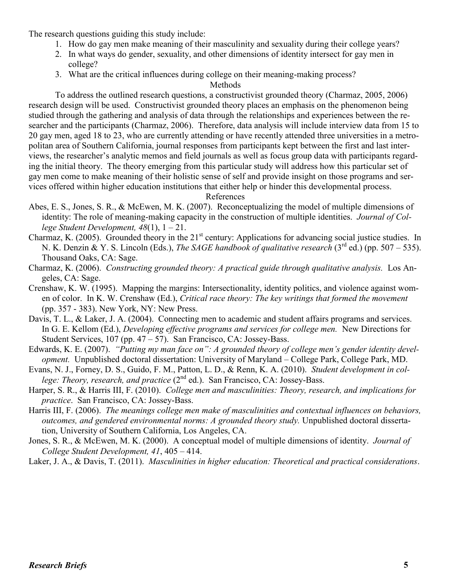The research questions guiding this study include:

- 1. How do gay men make meaning of their masculinity and sexuality during their college years?
- 2. In what ways do gender, sexuality, and other dimensions of identity intersect for gay men in college?
- 3. What are the critical influences during college on their meaning-making process?

### Methods

To address the outlined research questions, a constructivist grounded theory (Charmaz, 2005, 2006) research design will be used. Constructivist grounded theory places an emphasis on the phenomenon being studied through the gathering and analysis of data through the relationships and experiences between the researcher and the participants (Charmaz, 2006). Therefore, data analysis will include interview data from 15 to 20 gay men, aged 18 to 23, who are currently attending or have recently attended three universities in a metropolitan area of Southern California, journal responses from participants kept between the first and last interviews, the researcher's analytic memos and field journals as well as focus group data with participants regarding the initial theory. The theory emerging from this particular study will address how this particular set of gay men come to make meaning of their holistic sense of self and provide insight on those programs and services offered within higher education institutions that either help or hinder this developmental process.

References

- Abes, E. S., Jones, S. R., & McEwen, M. K. (2007). Reconceptualizing the model of multiple dimensions of identity: The role of meaning-making capacity in the construction of multiple identities. *Journal of College Student Development, 48*(1), 1 – 21.
- Charmaz, K. (2005). Grounded theory in the  $21<sup>st</sup>$  century: Applications for advancing social justice studies. In N. K. Denzin & Y. S. Lincoln (Eds.), *The SAGE handbook of qualitative research* (3rd ed.) (pp. 507 – 535). Thousand Oaks, CA: Sage.
- Charmaz, K. (2006). *Constructing grounded theory: A practical guide through qualitative analysis.* Los Angeles, CA: Sage.
- Crenshaw, K. W. (1995). Mapping the margins: Intersectionality, identity politics, and violence against women of color. In K. W. Crenshaw (Ed.), *Critical race theory: The key writings that formed the movement* (pp. 357 - 383). New York, NY: New Press.
- Davis, T. L., & Laker, J. A. (2004). Connecting men to academic and student affairs programs and services. In G. E. Kellom (Ed.), *Developing effective programs and services for college men.* New Directions for Student Services,  $107$  (pp.  $47 - 57$ ). San Francisco, CA: Jossey-Bass.
- Edwards, K. E. (2007). *"Putting my man face on": A grounded theory of college men's gender identity development.* Unpublished doctoral dissertation: University of Maryland – College Park, College Park, MD.
- Evans, N. J., Forney, D. S., Guido, F. M., Patton, L. D., & Renn, K. A. (2010). *Student development in college: Theory, research, and practice* (2<sup>nd</sup> ed.). San Francisco, CA: Jossey-Bass.
- Harper, S. R., & Harris III, F. (2010). *College men and masculinities: Theory, research, and implications for practice*. San Francisco, CA: Jossey-Bass.
- Harris III, F. (2006). *The meanings college men make of masculinities and contextual influences on behaviors, outcomes, and gendered environmental norms: A grounded theory study.* Unpublished doctoral dissertation, University of Southern California, Los Angeles, CA.
- Jones, S. R., & McEwen, M. K. (2000). A conceptual model of multiple dimensions of identity. *Journal of College Student Development, 41*, 405 – 414.
- Laker, J. A., & Davis, T. (2011). *Masculinities in higher education: Theoretical and practical considerations*.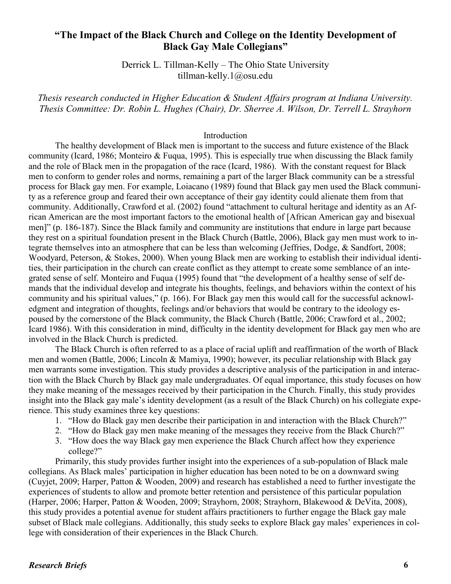## **"The Impact of the Black Church and College on the Identity Development of Black Gay Male Collegians"**

Derrick L. Tillman-Kelly – The Ohio State University tillman-kelly.1@osu.edu

*Thesis research conducted in Higher Education & Student Affairs program at Indiana University. Thesis Committee: Dr. Robin L. Hughes (Chair), Dr. Sherree A. Wilson, Dr. Terrell L. Strayhorn*

#### Introduction

The healthy development of Black men is important to the success and future existence of the Black community (Icard, 1986; Monteiro & Fuqua, 1995). This is especially true when discussing the Black family and the role of Black men in the propagation of the race (Icard, 1986). With the constant request for Black men to conform to gender roles and norms, remaining a part of the larger Black community can be a stressful process for Black gay men. For example, Loiacano (1989) found that Black gay men used the Black community as a reference group and feared their own acceptance of their gay identity could alienate them from that community. Additionally, Crawford et al. (2002) found "attachment to cultural heritage and identity as an African American are the most important factors to the emotional health of [African American gay and bisexual men]" (p. 186-187). Since the Black family and community are institutions that endure in large part because they rest on a spiritual foundation present in the Black Church (Battle, 2006), Black gay men must work to integrate themselves into an atmosphere that can be less than welcoming (Jeffries, Dodge, & Sandfort, 2008; Woodyard, Peterson, & Stokes, 2000). When young Black men are working to establish their individual identities, their participation in the church can create conflict as they attempt to create some semblance of an integrated sense of self. Monteiro and Fuqua (1995) found that "the development of a healthy sense of self demands that the individual develop and integrate his thoughts, feelings, and behaviors within the context of his community and his spiritual values," (p. 166). For Black gay men this would call for the successful acknowledgment and integration of thoughts, feelings and/or behaviors that would be contrary to the ideology espoused by the cornerstone of the Black community, the Black Church (Battle, 2006; Crawford et al., 2002; Icard 1986). With this consideration in mind, difficulty in the identity development for Black gay men who are involved in the Black Church is predicted.

The Black Church is often referred to as a place of racial uplift and reaffirmation of the worth of Black men and women (Battle, 2006; Lincoln & Mamiya, 1990); however, its peculiar relationship with Black gay men warrants some investigation. This study provides a descriptive analysis of the participation in and interaction with the Black Church by Black gay male undergraduates. Of equal importance, this study focuses on how they make meaning of the messages received by their participation in the Church. Finally, this study provides insight into the Black gay male's identity development (as a result of the Black Church) on his collegiate experience. This study examines three key questions:

- 1. "How do Black gay men describe their participation in and interaction with the Black Church?"
- 2. "How do Black gay men make meaning of the messages they receive from the Black Church?"
- 3. "How does the way Black gay men experience the Black Church affect how they experience college?"

Primarily, this study provides further insight into the experiences of a sub-population of Black male collegians. As Black males' participation in higher education has been noted to be on a downward swing (Cuyjet, 2009; Harper, Patton & Wooden, 2009) and research has established a need to further investigate the experiences of students to allow and promote better retention and persistence of this particular population (Harper, 2006; Harper, Patton & Wooden, 2009; Strayhorn, 2008; Strayhorn, Blakewood & DeVita, 2008), this study provides a potential avenue for student affairs practitioners to further engage the Black gay male subset of Black male collegians. Additionally, this study seeks to explore Black gay males' experiences in college with consideration of their experiences in the Black Church.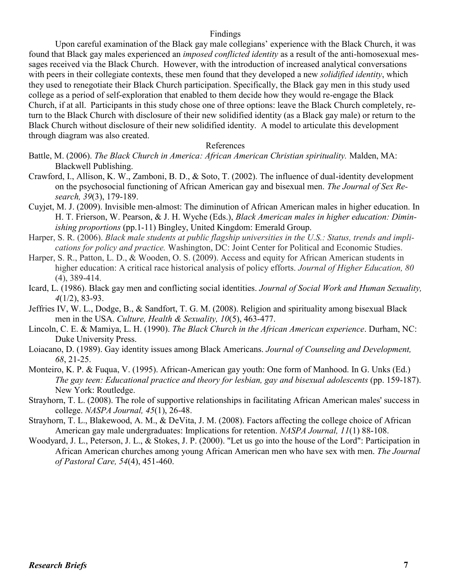#### Findings

Upon careful examination of the Black gay male collegians' experience with the Black Church, it was found that Black gay males experienced an *imposed conflicted identity* as a result of the anti-homosexual messages received via the Black Church. However, with the introduction of increased analytical conversations with peers in their collegiate contexts, these men found that they developed a new *solidified identity*, which they used to renegotiate their Black Church participation. Specifically, the Black gay men in this study used college as a period of self-exploration that enabled to them decide how they would re-engage the Black Church, if at all. Participants in this study chose one of three options: leave the Black Church completely, return to the Black Church with disclosure of their new solidified identity (as a Black gay male) or return to the Black Church without disclosure of their new solidified identity. A model to articulate this development through diagram was also created.

### References

- Battle, M. (2006). *The Black Church in America: African American Christian spirituality.* Malden, MA: Blackwell Publishing.
- Crawford, I., Allison, K. W., Zamboni, B. D., & Soto, T. (2002). The influence of dual-identity development on the psychosocial functioning of African American gay and bisexual men. *The Journal of Sex Research, 39*(3), 179-189.
- Cuyjet, M. J. (2009). Invisible men-almost: The diminution of African American males in higher education. In H. T. Frierson, W. Pearson, & J. H. Wyche (Eds.), *Black American males in higher education: Diminishing proportions* (pp.1-11) Bingley, United Kingdom: Emerald Group.
- Harper, S. R. (2006). *Black male students at public flagship universities in the U.S.: Status, trends and implications for policy and practice.* Washington, DC: Joint Center for Political and Economic Studies.
- Harper, S. R., Patton, L. D., & Wooden, O. S. (2009). Access and equity for African American students in higher education: A critical race historical analysis of policy efforts. *Journal of Higher Education, 80* (4), 389-414.
- Icard, L. (1986). Black gay men and conflicting social identities. *Journal of Social Work and Human Sexuality, 4*(1/2), 83-93.
- Jeffries IV, W. L., Dodge, B., & Sandfort, T. G. M. (2008). Religion and spirituality among bisexual Black men in the USA. *Culture, Health & Sexuality, 10*(5), 463-477.
- Lincoln, C. E. & Mamiya, L. H. (1990). *The Black Church in the African American experience*. Durham, NC: Duke University Press.
- Loiacano, D. (1989). Gay identity issues among Black Americans. *Journal of Counseling and Development, 68*, 21-25.
- Monteiro, K. P. & Fuqua, V. (1995). African-American gay youth: One form of Manhood. In G. Unks (Ed.) *The gay teen: Educational practice and theory for lesbian, gay and bisexual adolescents* (pp. 159-187). New York: Routledge.
- Strayhorn, T. L. (2008). The role of supportive relationships in facilitating African American males' success in college. *NASPA Journal, 45*(1), 26-48.
- Strayhorn, T. L., Blakewood, A. M., & DeVita, J. M. (2008). Factors affecting the college choice of African American gay male undergraduates: Implications for retention. *NASPA Journal, 11*(1) 88-108.
- Woodyard, J. L., Peterson, J. L., & Stokes, J. P. (2000). "Let us go into the house of the Lord": Participation in African American churches among young African American men who have sex with men. *The Journal of Pastoral Care, 54*(4), 451-460.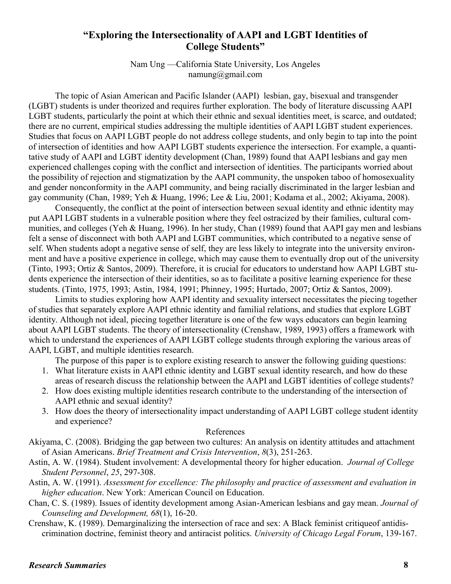# **"Exploring the Intersectionality of AAPI and LGBT Identities of College Students"**

Nam Ung —California State University, Los Angeles namung@gmail.com

The topic of Asian American and Pacific Islander (AAPI) lesbian, gay, bisexual and transgender (LGBT) students is under theorized and requires further exploration. The body of literature discussing AAPI LGBT students, particularly the point at which their ethnic and sexual identities meet, is scarce, and outdated; there are no current, empirical studies addressing the multiple identities of AAPI LGBT student experiences. Studies that focus on AAPI LGBT people do not address college students, and only begin to tap into the point of intersection of identities and how AAPI LGBT students experience the intersection. For example, a quantitative study of AAPI and LGBT identity development (Chan, 1989) found that AAPI lesbians and gay men experienced challenges coping with the conflict and intersection of identities. The participants worried about the possibility of rejection and stigmatization by the AAPI community, the unspoken taboo of homosexuality and gender nonconformity in the AAPI community, and being racially discriminated in the larger lesbian and gay community (Chan, 1989; Yeh & Huang, 1996; Lee & Liu, 2001; Kodama et al., 2002; Akiyama, 2008).

Consequently, the conflict at the point of intersection between sexual identity and ethnic identity may put AAPI LGBT students in a vulnerable position where they feel ostracized by their families, cultural communities, and colleges (Yeh & Huang, 1996). In her study, Chan (1989) found that AAPI gay men and lesbians felt a sense of disconnect with both AAPI and LGBT communities, which contributed to a negative sense of self. When students adopt a negative sense of self, they are less likely to integrate into the university environment and have a positive experience in college, which may cause them to eventually drop out of the university (Tinto, 1993; Ortiz & Santos, 2009). Therefore, it is crucial for educators to understand how AAPI LGBT students experience the intersection of their identities, so as to facilitate a positive learning experience for these students. (Tinto, 1975, 1993; Astin, 1984, 1991; Phinney, 1995; Hurtado, 2007; Ortiz & Santos, 2009).

Limits to studies exploring how AAPI identity and sexuality intersect necessitates the piecing together of studies that separately explore AAPI ethnic identity and familial relations, and studies that explore LGBT identity. Although not ideal, piecing together literature is one of the few ways educators can begin learning about AAPI LGBT students. The theory of intersectionality (Crenshaw, 1989, 1993) offers a framework with which to understand the experiences of AAPI LGBT college students through exploring the various areas of AAPI, LGBT, and multiple identities research.

The purpose of this paper is to explore existing research to answer the following guiding questions:

- 1. What literature exists in AAPI ethnic identity and LGBT sexual identity research, and how do these areas of research discuss the relationship between the AAPI and LGBT identities of college students?
- 2. How does existing multiple identities research contribute to the understanding of the intersection of AAPI ethnic and sexual identity?
- 3. How does the theory of intersectionality impact understanding of AAPI LGBT college student identity and experience?

#### References

- Akiyama, C. (2008). Bridging the gap between two cultures: An analysis on identity attitudes and attachment of Asian Americans. *Brief Treatment and Crisis Intervention*, *8*(3), 251-263.
- Astin, A. W. (1984). Student involvement: A developmental theory for higher education. *Journal of College Student Personnel*, *25*, 297-308.
- Astin, A. W. (1991). *Assessment for excellence: The philosophy and practice of assessment and evaluation in higher education*. New York: American Council on Education.
- Chan, C. S. (1989). Issues of identity development among Asian-American lesbians and gay mean. *Journal of Counseling and Development, 68*(1), 16-20.
- Crenshaw, K. (1989). Demarginalizing the intersection of race and sex: A Black feminist critiqueof antidiscrimination doctrine, feminist theory and antiracist politics. *University of Chicago Legal Forum*, 139-167.

### *Research Summaries* **8**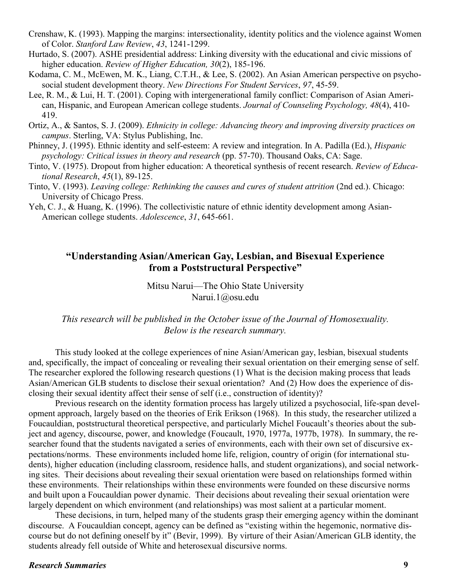- Crenshaw, K. (1993). Mapping the margins: intersectionality, identity politics and the violence against Women of Color. *Stanford Law Review*, *43*, 1241-1299.
- Hurtado, S. (2007). ASHE presidential address: Linking diversity with the educational and civic missions of higher education. *Review of Higher Education, 30*(2), 185-196.
- Kodama, C. M., McEwen, M. K., Liang, C.T.H., & Lee, S. (2002). An Asian American perspective on psychosocial student development theory. *New Directions For Student Services*, *97*, 45-59.
- Lee, R. M., & Lui, H. T. (2001). Coping with intergenerational family conflict: Comparison of Asian American, Hispanic, and European American college students. *Journal of Counseling Psychology, 48*(4), 410- 419.
- Ortiz, A., & Santos, S. J. (2009). *Ethnicity in college: Advancing theory and improving diversity practices on campus*. Sterling, VA: Stylus Publishing, Inc.
- Phinney, J. (1995). Ethnic identity and self-esteem: A review and integration. In A. Padilla (Ed.), *Hispanic psychology: Critical issues in theory and research* (pp. 57-70). Thousand Oaks, CA: Sage.
- Tinto, V. (1975). Dropout from higher education: A theoretical synthesis of recent research. *Review of Educational Research*, *45*(1), 89-125.
- Tinto, V. (1993). *Leaving college: Rethinking the causes and cures of student attrition* (2nd ed.). Chicago: University of Chicago Press.
- Yeh, C. J., & Huang, K. (1996). The collectivistic nature of ethnic identity development among Asian-American college students. *Adolescence*, *31*, 645-661.

## **"Understanding Asian/American Gay, Lesbian, and Bisexual Experience from a Poststructural Perspective"**

Mitsu Narui—The Ohio State University Narui.1@osu.edu

### *This research will be published in the October issue of the Journal of Homosexuality. Below is the research summary.*

This study looked at the college experiences of nine Asian/American gay, lesbian, bisexual students and, specifically, the impact of concealing or revealing their sexual orientation on their emerging sense of self. The researcher explored the following research questions (1) What is the decision making process that leads Asian/American GLB students to disclose their sexual orientation? And (2) How does the experience of disclosing their sexual identity affect their sense of self (i.e., construction of identity)?

Previous research on the identity formation process has largely utilized a psychosocial, life-span development approach, largely based on the theories of Erik Erikson (1968). In this study, the researcher utilized a Foucauldian, poststructural theoretical perspective, and particularly Michel Foucault's theories about the subject and agency, discourse, power, and knowledge (Foucault, 1970, 1977a, 1977b, 1978). In summary, the researcher found that the students navigated a series of environments, each with their own set of discursive expectations/norms. These environments included home life, religion, country of origin (for international students), higher education (including classroom, residence halls, and student organizations), and social networking sites. Their decisions about revealing their sexual orientation were based on relationships formed within these environments. Their relationships within these environments were founded on these discursive norms and built upon a Foucauldian power dynamic. Their decisions about revealing their sexual orientation were largely dependent on which environment (and relationships) was most salient at a particular moment.

These decisions, in turn, helped many of the students grasp their emerging agency within the dominant discourse. A Foucauldian concept, agency can be defined as "existing within the hegemonic, normative discourse but do not defining oneself by it" (Bevir, 1999). By virture of their Asian/American GLB identity, the students already fell outside of White and heterosexual discursive norms.

### *Research Summaries*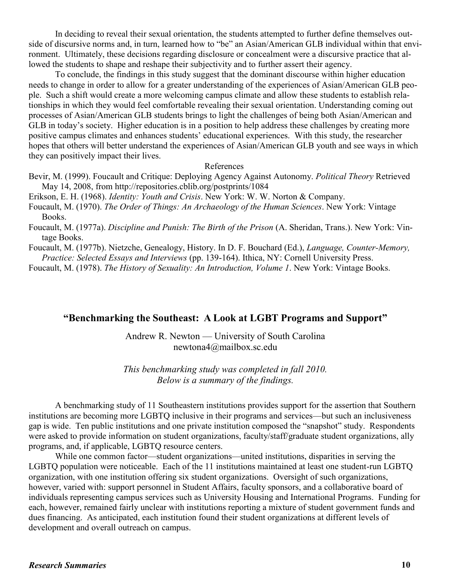In deciding to reveal their sexual orientation, the students attempted to further define themselves outside of discursive norms and, in turn, learned how to "be" an Asian/American GLB individual within that environment. Ultimately, these decisions regarding disclosure or concealment were a discursive practice that allowed the students to shape and reshape their subjectivity and to further assert their agency.

To conclude, the findings in this study suggest that the dominant discourse within higher education needs to change in order to allow for a greater understanding of the experiences of Asian/American GLB people. Such a shift would create a more welcoming campus climate and allow these students to establish relationships in which they would feel comfortable revealing their sexual orientation. Understanding coming out processes of Asian/American GLB students brings to light the challenges of being both Asian/American and GLB in today's society. Higher education is in a position to help address these challenges by creating more positive campus climates and enhances students' educational experiences. With this study, the researcher hopes that others will better understand the experiences of Asian/American GLB youth and see ways in which they can positively impact their lives.

#### References

Bevir, M. (1999). Foucault and Critique: Deploying Agency Against Autonomy. *Political Theory* Retrieved May 14, 2008, from http://repositories.cblib.org/postprints/1084

Erikson, E. H. (1968). *Identity: Youth and Crisis*. New York: W. W. Norton & Company.

- Foucault, M. (1970). *The Order of Things: An Archaeology of the Human Sciences*. New York: Vintage Books.
- Foucault, M. (1977a). *Discipline and Punish: The Birth of the Prison* (A. Sheridan, Trans.). New York: Vintage Books.
- Foucault, M. (1977b). Nietzche, Genealogy, History. In D. F. Bouchard (Ed.), *Language, Counter-Memory, Practice: Selected Essays and Interviews* (pp. 139-164). Ithica, NY: Cornell University Press.

Foucault, M. (1978). *The History of Sexuality: An Introduction, Volume 1*. New York: Vintage Books.

### **"Benchmarking the Southeast: A Look at LGBT Programs and Support"**

Andrew R. Newton — University of South Carolina newtona4@mailbox.sc.edu

*This benchmarking study was completed in fall 2010. Below is a summary of the findings.*

A benchmarking study of 11 Southeastern institutions provides support for the assertion that Southern institutions are becoming more LGBTQ inclusive in their programs and services—but such an inclusiveness gap is wide. Ten public institutions and one private institution composed the "snapshot" study. Respondents were asked to provide information on student organizations, faculty/staff/graduate student organizations, ally programs, and, if applicable, LGBTQ resource centers.

While one common factor—student organizations—united institutions, disparities in serving the LGBTQ population were noticeable. Each of the 11 institutions maintained at least one student-run LGBTQ organization, with one institution offering six student organizations. Oversight of such organizations, however, varied with: support personnel in Student Affairs, faculty sponsors, and a collaborative board of individuals representing campus services such as University Housing and International Programs. Funding for each, however, remained fairly unclear with institutions reporting a mixture of student government funds and dues financing. As anticipated, each institution found their student organizations at different levels of development and overall outreach on campus.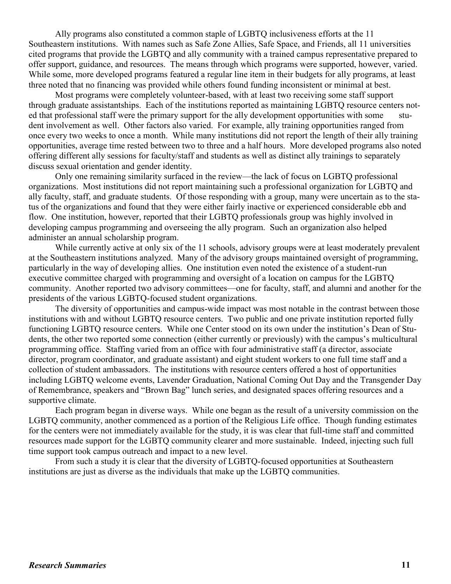Ally programs also constituted a common staple of LGBTQ inclusiveness efforts at the 11 Southeastern institutions. With names such as Safe Zone Allies, Safe Space, and Friends, all 11 universities cited programs that provide the LGBTQ and ally community with a trained campus representative prepared to offer support, guidance, and resources. The means through which programs were supported, however, varied. While some, more developed programs featured a regular line item in their budgets for ally programs, at least three noted that no financing was provided while others found funding inconsistent or minimal at best.

Most programs were completely volunteer-based, with at least two receiving some staff support through graduate assistantships. Each of the institutions reported as maintaining LGBTQ resource centers noted that professional staff were the primary support for the ally development opportunities with some student involvement as well. Other factors also varied. For example, ally training opportunities ranged from once every two weeks to once a month. While many institutions did not report the length of their ally training opportunities, average time rested between two to three and a half hours. More developed programs also noted offering different ally sessions for faculty/staff and students as well as distinct ally trainings to separately discuss sexual orientation and gender identity.

Only one remaining similarity surfaced in the review—the lack of focus on LGBTQ professional organizations. Most institutions did not report maintaining such a professional organization for LGBTQ and ally faculty, staff, and graduate students. Of those responding with a group, many were uncertain as to the status of the organizations and found that they were either fairly inactive or experienced considerable ebb and flow. One institution, however, reported that their LGBTQ professionals group was highly involved in developing campus programming and overseeing the ally program. Such an organization also helped administer an annual scholarship program.

While currently active at only six of the 11 schools, advisory groups were at least moderately prevalent at the Southeastern institutions analyzed. Many of the advisory groups maintained oversight of programming, particularly in the way of developing allies. One institution even noted the existence of a student-run executive committee charged with programming and oversight of a location on campus for the LGBTQ community. Another reported two advisory committees—one for faculty, staff, and alumni and another for the presidents of the various LGBTQ-focused student organizations.

The diversity of opportunities and campus-wide impact was most notable in the contrast between those institutions with and without LGBTQ resource centers. Two public and one private institution reported fully functioning LGBTQ resource centers. While one Center stood on its own under the institution's Dean of Students, the other two reported some connection (either currently or previously) with the campus's multicultural programming office. Staffing varied from an office with four administrative staff (a director, associate director, program coordinator, and graduate assistant) and eight student workers to one full time staff and a collection of student ambassadors. The institutions with resource centers offered a host of opportunities including LGBTQ welcome events, Lavender Graduation, National Coming Out Day and the Transgender Day of Remembrance, speakers and "Brown Bag" lunch series, and designated spaces offering resources and a supportive climate.

Each program began in diverse ways. While one began as the result of a university commission on the LGBTQ community, another commenced as a portion of the Religious Life office. Though funding estimates for the centers were not immediately available for the study, it is was clear that full-time staff and committed resources made support for the LGBTQ community clearer and more sustainable. Indeed, injecting such full time support took campus outreach and impact to a new level.

From such a study it is clear that the diversity of LGBTQ-focused opportunities at Southeastern institutions are just as diverse as the individuals that make up the LGBTQ communities.